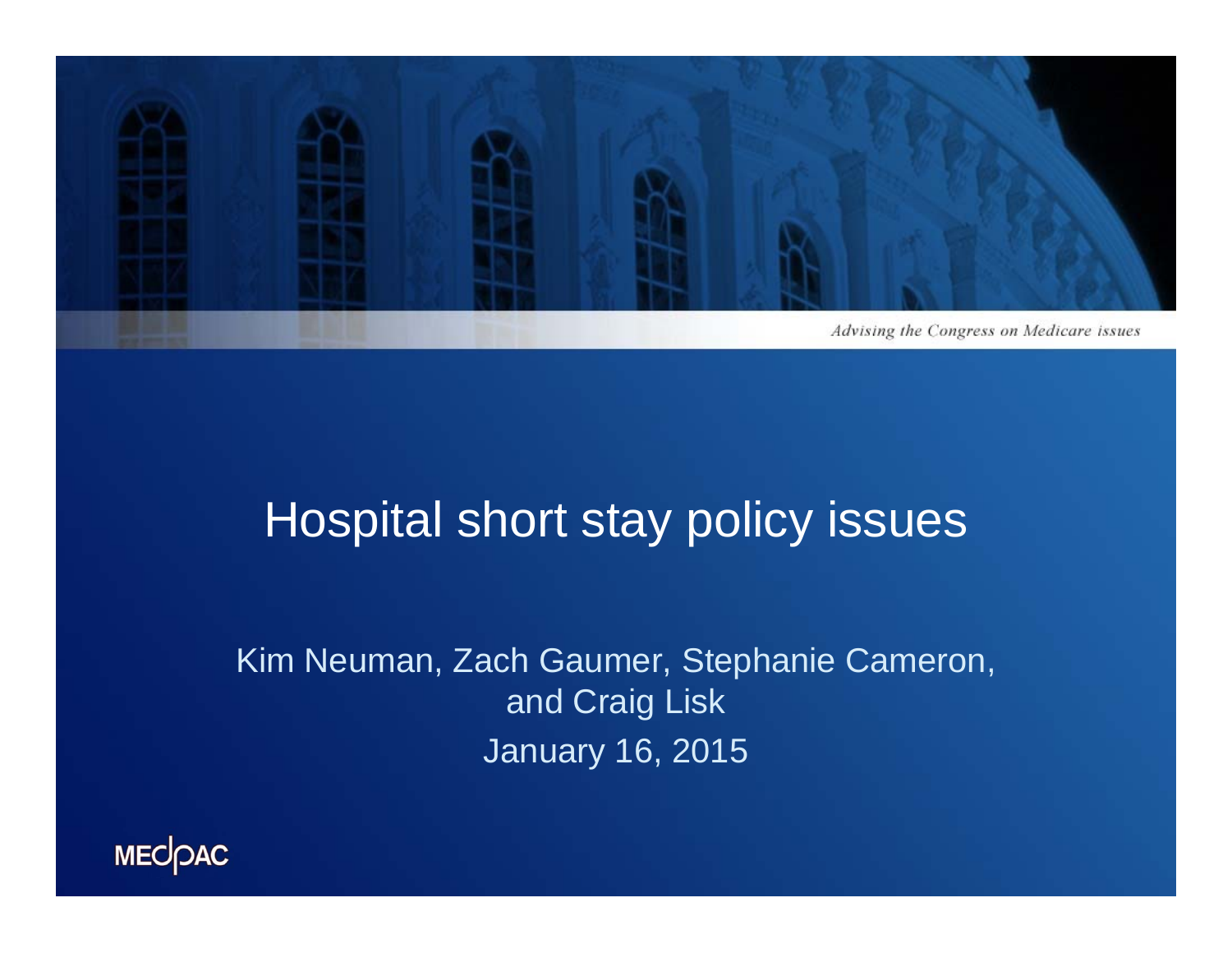

## Hospital short stay policy issues

Kim Neuman, Zach Gaumer, Stephanie Cameron, and Craig Lisk January 16, 2015

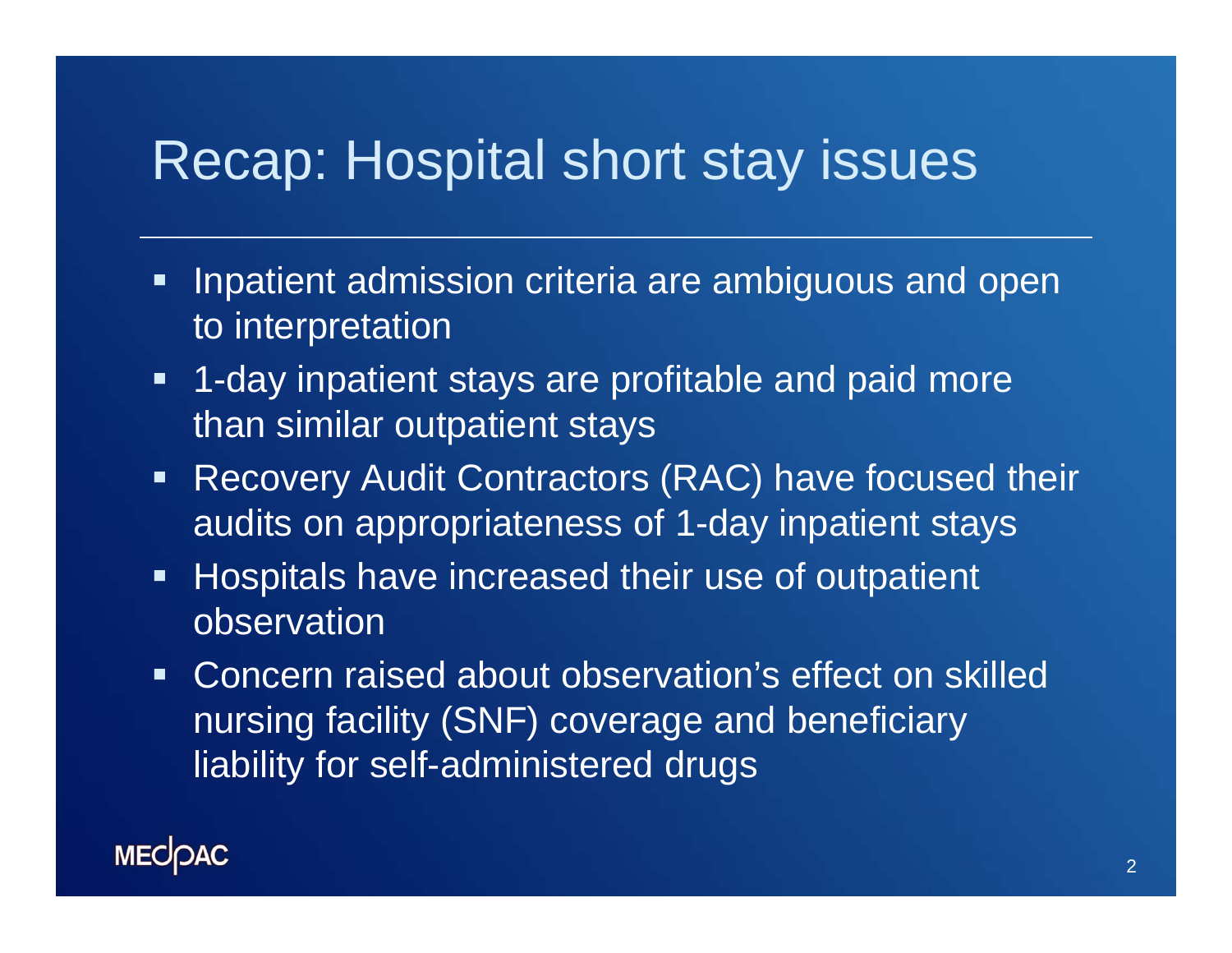## Recap: Hospital short stay issues

- $\blacksquare$  Inpatient admission criteria are ambiguous and open to interpretation
- $\blacksquare$  1-day inpatient stays are profitable and paid more than similar outpatient stays
- $\blacksquare$ Recovery Audit Contractors (RAC) have focused their audits on appropriateness of 1-day inpatient stays
- $\blacksquare$  Hospitals have increased their use of outpatient observation
- Concern raised about observation's effect on skilled nursing facility (SNF) coverage and beneficiary liability for self-administered drugs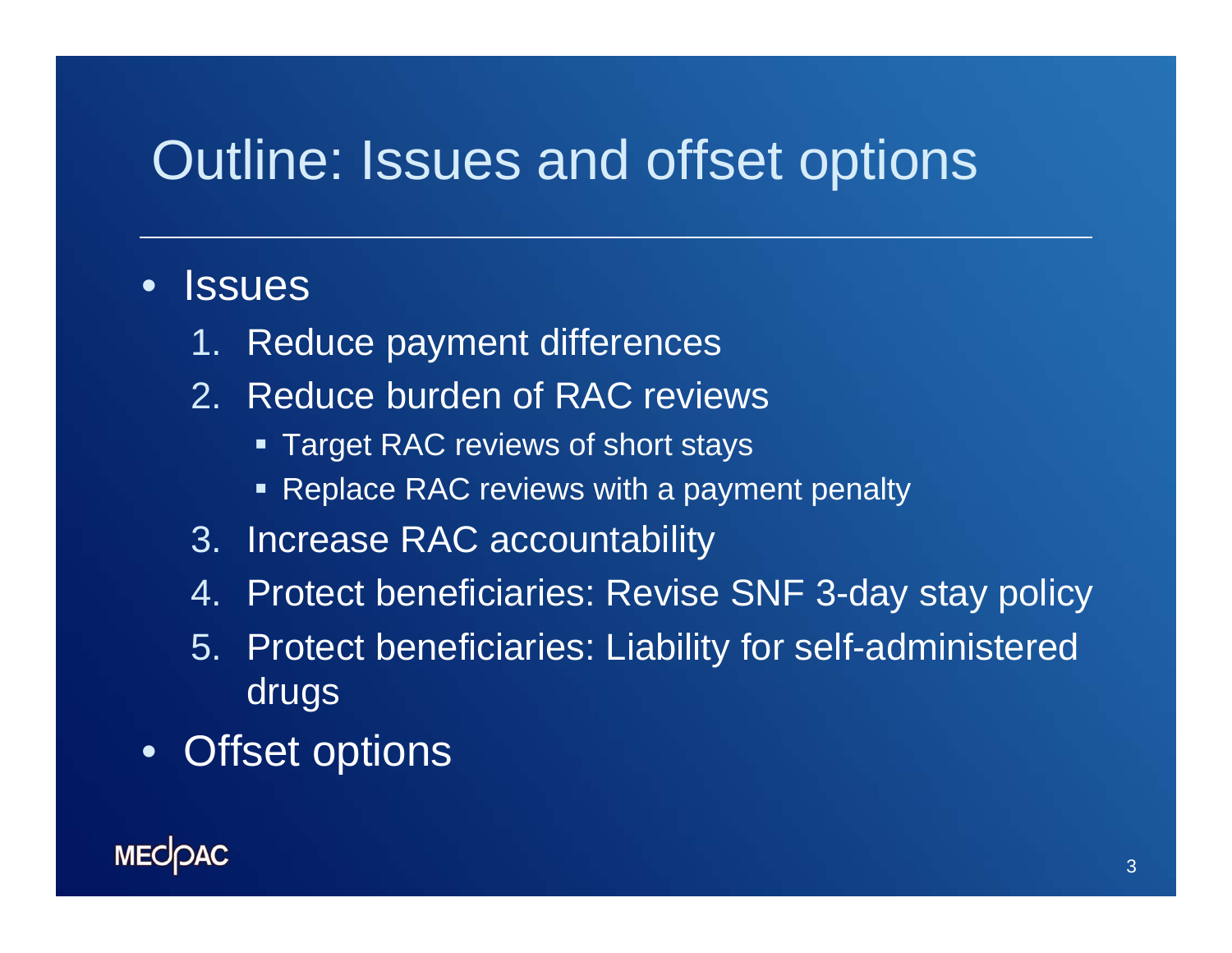# Outline: Issues and offset options

### • Issues

- 1.Reduce payment differences
- 2. Reduce burden of RAC reviews
	- **Target RAC reviews of short stays**
	- **Replace RAC reviews with a payment penalty**
- 3. Increase RAC accountability
- 4. Protect beneficiaries: Revise SNF 3-day stay policy
- 5. Protect beneficiaries: Liability for self-administered drugs
- Offset options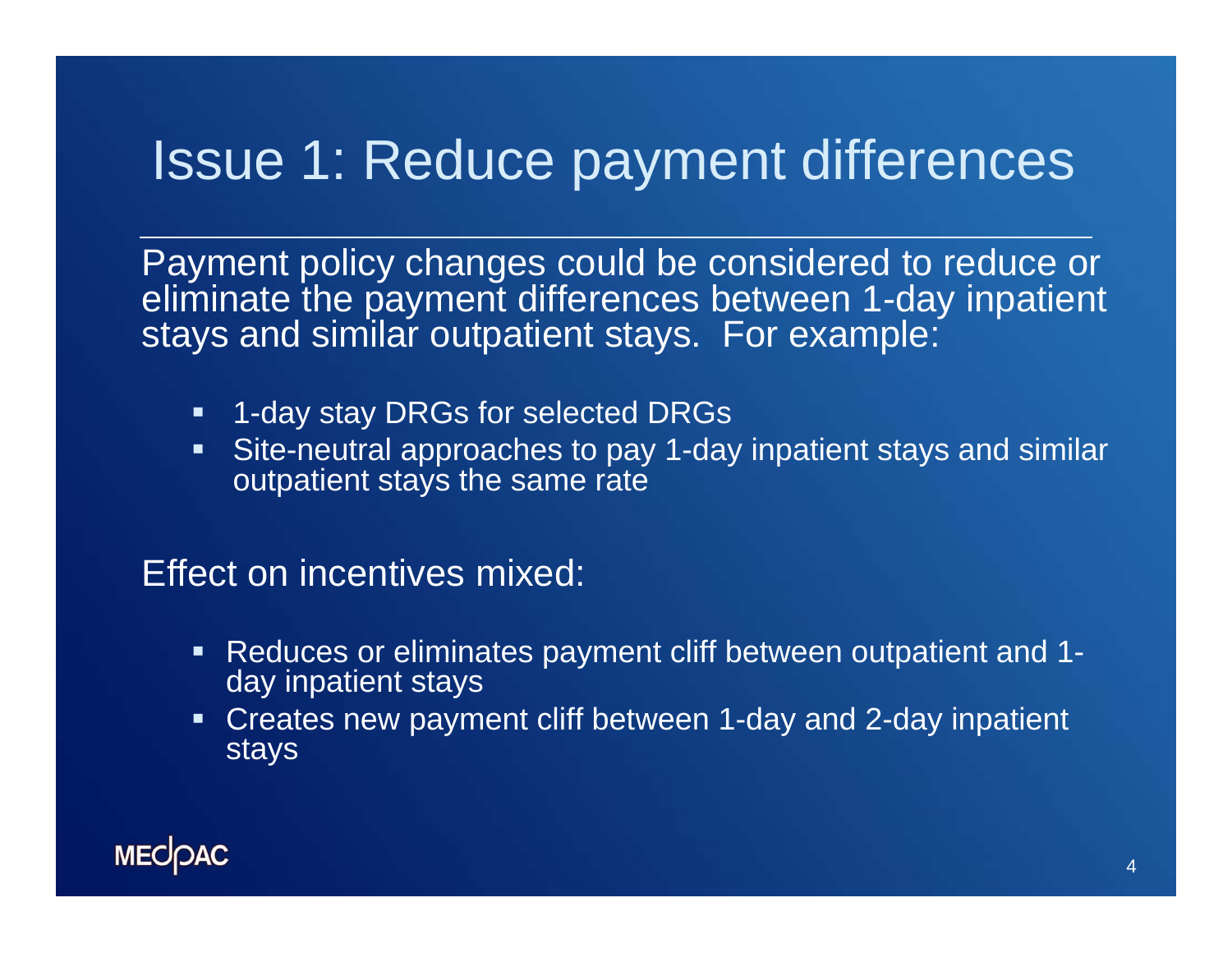# Issue 1: Reduce payment differences

Payment policy changes could be considered to reduce or eliminate the payment differences between 1-day inpatient stays and similar outpatient stays. For example:

- $\blacksquare$ 1-day stay DRGs for selected DRGs
- $\blacksquare$  Site-neutral approaches to pay 1-day inpatient stays and similar outpatient stays the same rate

#### Effect on incentives mixed:

- Reduces or eliminates payment cliff between outpatient and 1 day inpatient stays
- Creates new payment cliff between 1-day and 2-day inpatient stays

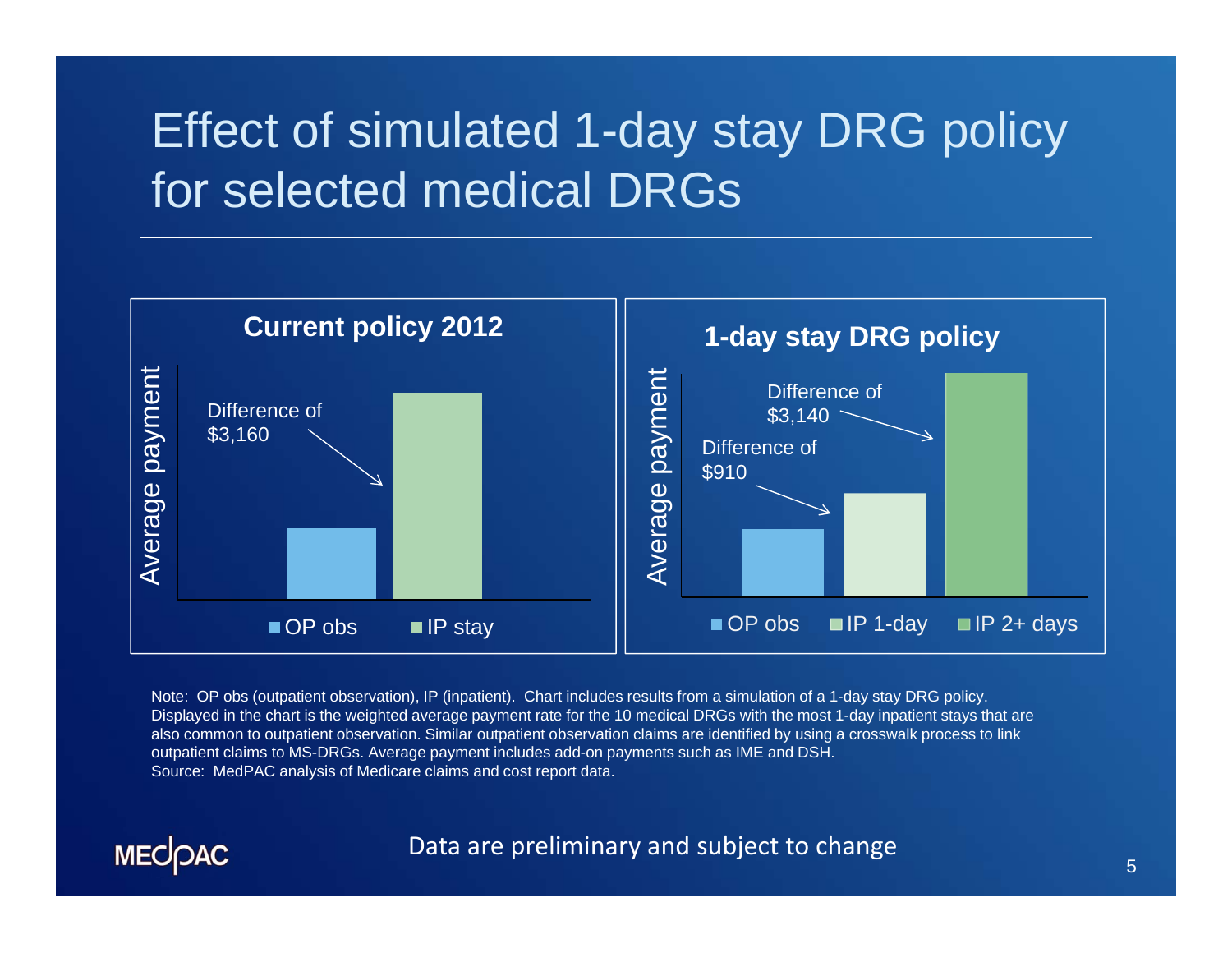# Effect of simulated 1-day stay DRG policy for selected medical DRGs



Note: OP obs (outpatient observation), IP (inpatient). Chart includes results from a simulation of a 1-day stay DRG policy. Displayed in the chart is the weighted average payment rate for the 10 medical DRGs with the most 1-day inpatient stays that ar e also common to outpatient observation. Similar outpatient observation claims are identified by using a crosswalk process to link outpatient claims to MS-DRGs. Average payment includes add-on payments such as IME and DSH. Source: MedPAC analysis of Medicare claims and cost report data.

**MECOAC** 

#### Data are preliminary and subject to change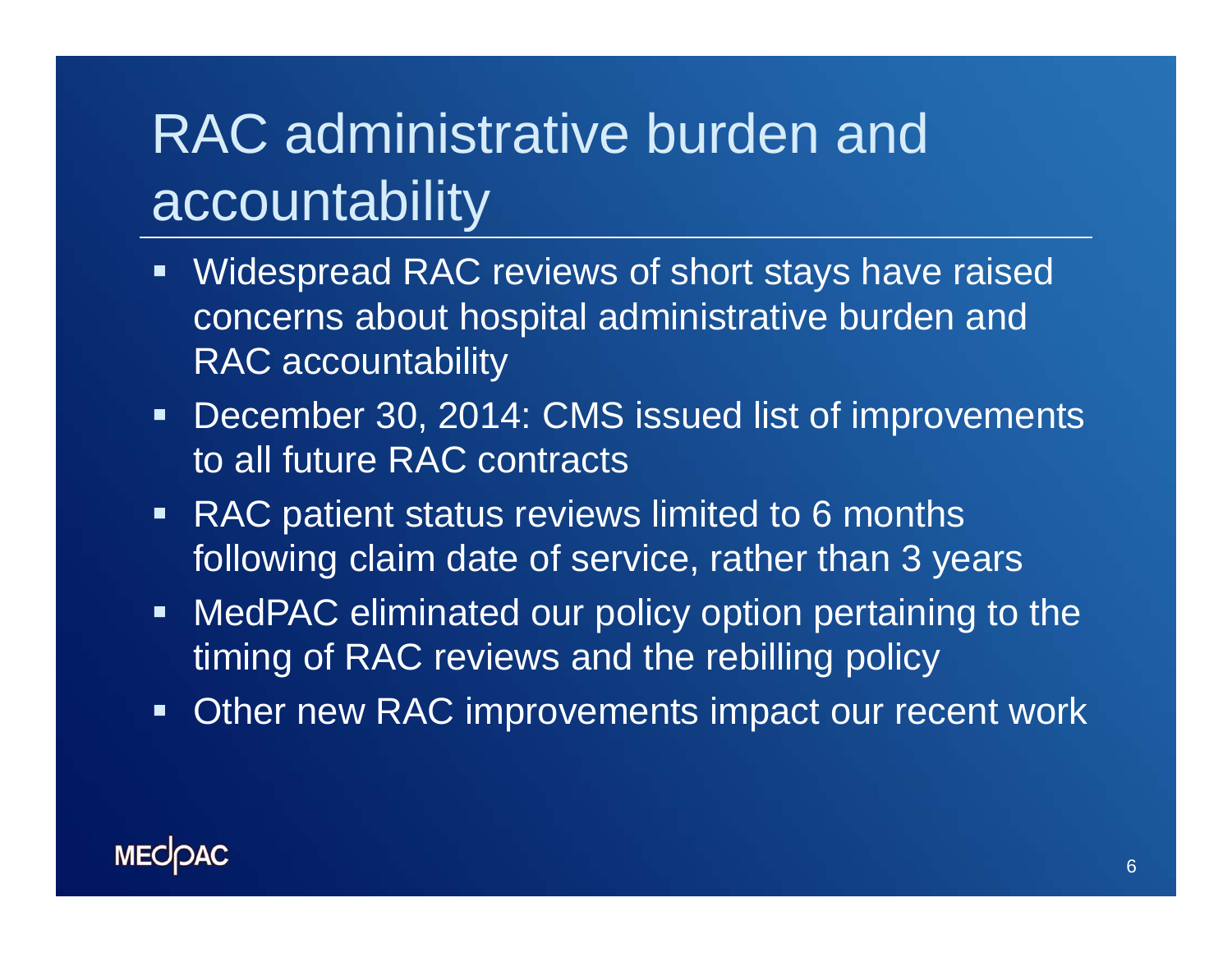# RAC administrative burden and accountability

- **Widespread RAC reviews of short stays have raised** concerns about hospital administrative burden and RAC accountability
- $\blacksquare$  December 30, 2014: CMS issued list of improvements to all future RAC contracts
- RAC patient status reviews limited to 6 months following claim date of service, rather than 3 years
- **MedPAC eliminated our policy option pertaining to the** timing of RAC reviews and the rebilling policy
- $\blacksquare$ Other new RAC improvements impact our recent work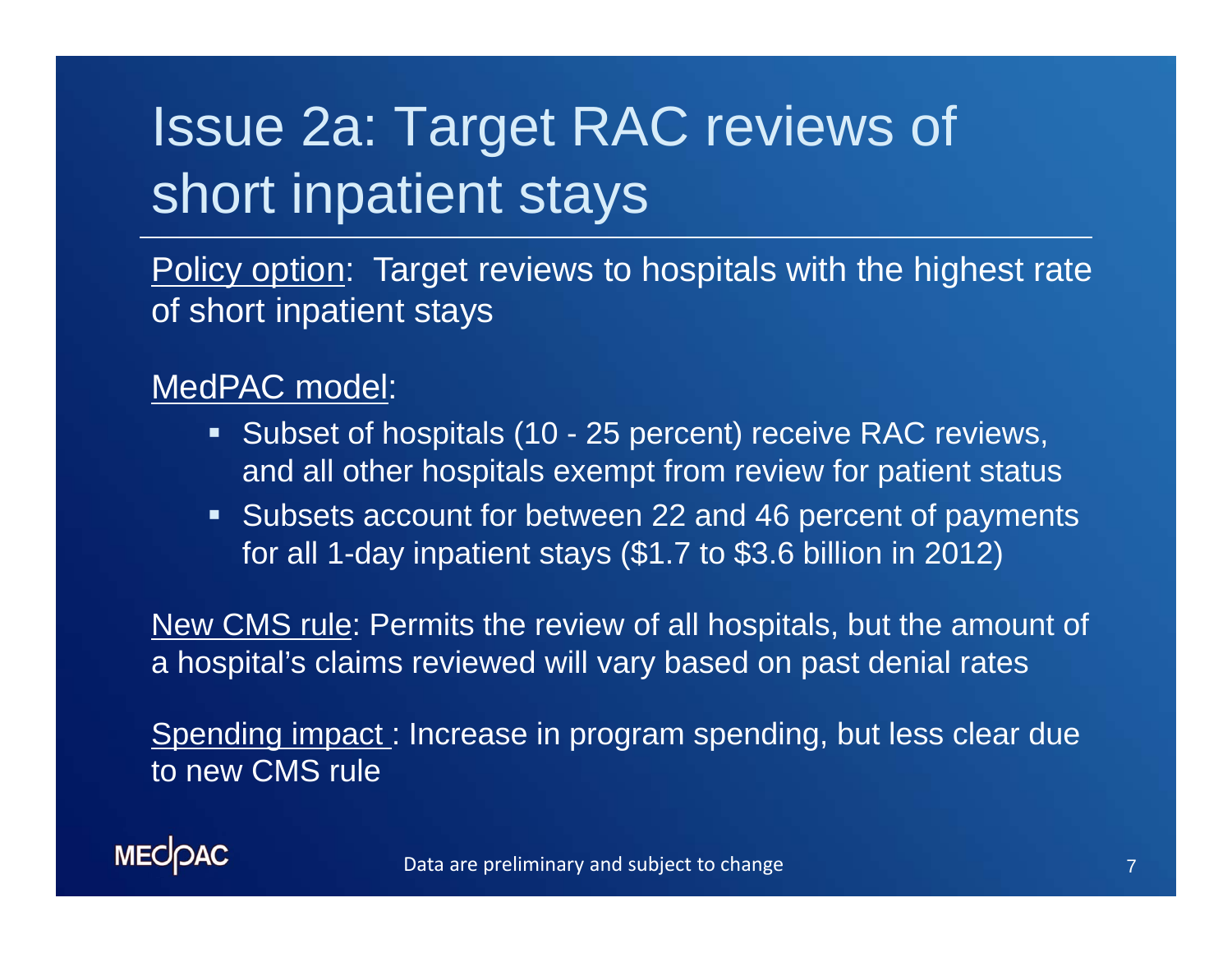# Issue 2a: Target RAC reviews of short inpatient stays

Policy option: Target reviews to hospitals with the highest rate of short inpatient stays

MedPAC model:

- Subset of hospitals (10 25 percent) receive RAC reviews, and all other hospitals exempt from review for patient status
- **Subsets account for between 22 and 46 percent of payments** for all 1-day inpatient stays (\$1.7 to \$3.6 billion in 2012)

New CMS rule: Permits the review of all hospitals, but the amount of a hospital's claims reviewed will vary based on past denial rates

Spending impact: Increase in program spending, but less clear due to new CMS rule

**MECOAC**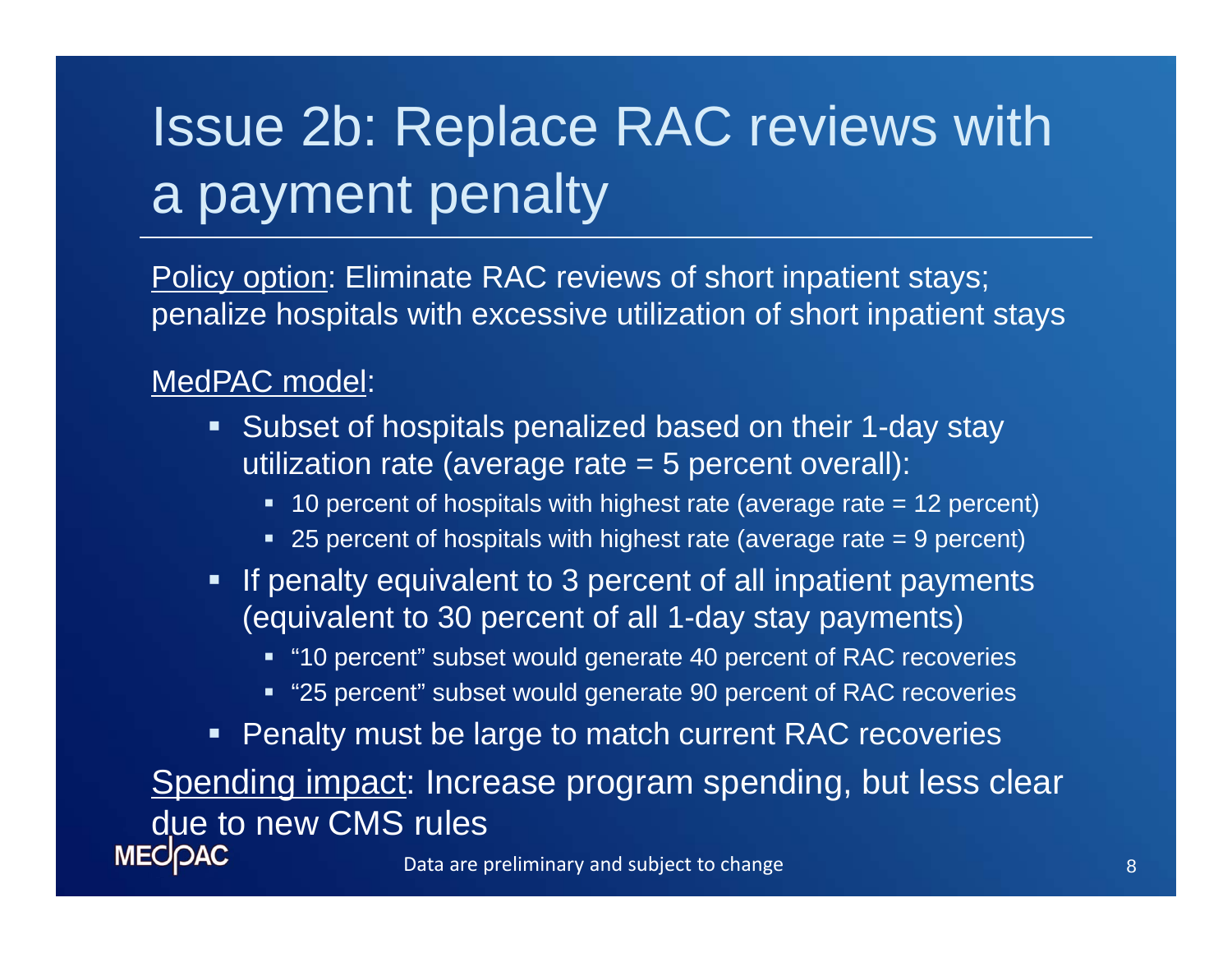# Issue 2b: Replace RAC reviews with a payment penalty

Policy option: Eliminate RAC reviews of short inpatient stays; penalize hospitals with excessive utilization of short inpatient stays

#### MedPAC model:

- Subset of hospitals penalized based on their 1-day stay utilization rate (average rate = 5 percent overall):
	- 10 percent of hospitals with highest rate (average rate = 12 percent)
	- 25 percent of hospitals with highest rate (average rate = 9 percent)
- **If penalty equivalent to 3 percent of all inpatient payments** (equivalent to 30 percent of all 1-day stay payments)
	- "10 percent" subset would generate 40 percent of RAC recoveries
	- "25 percent" subset would generate 90 percent of RAC recoveries
- **Penalty must be large to match current RAC recoveries**

Spending impact: Increase program spending, but less clear due to new CMS rules**MECOAC**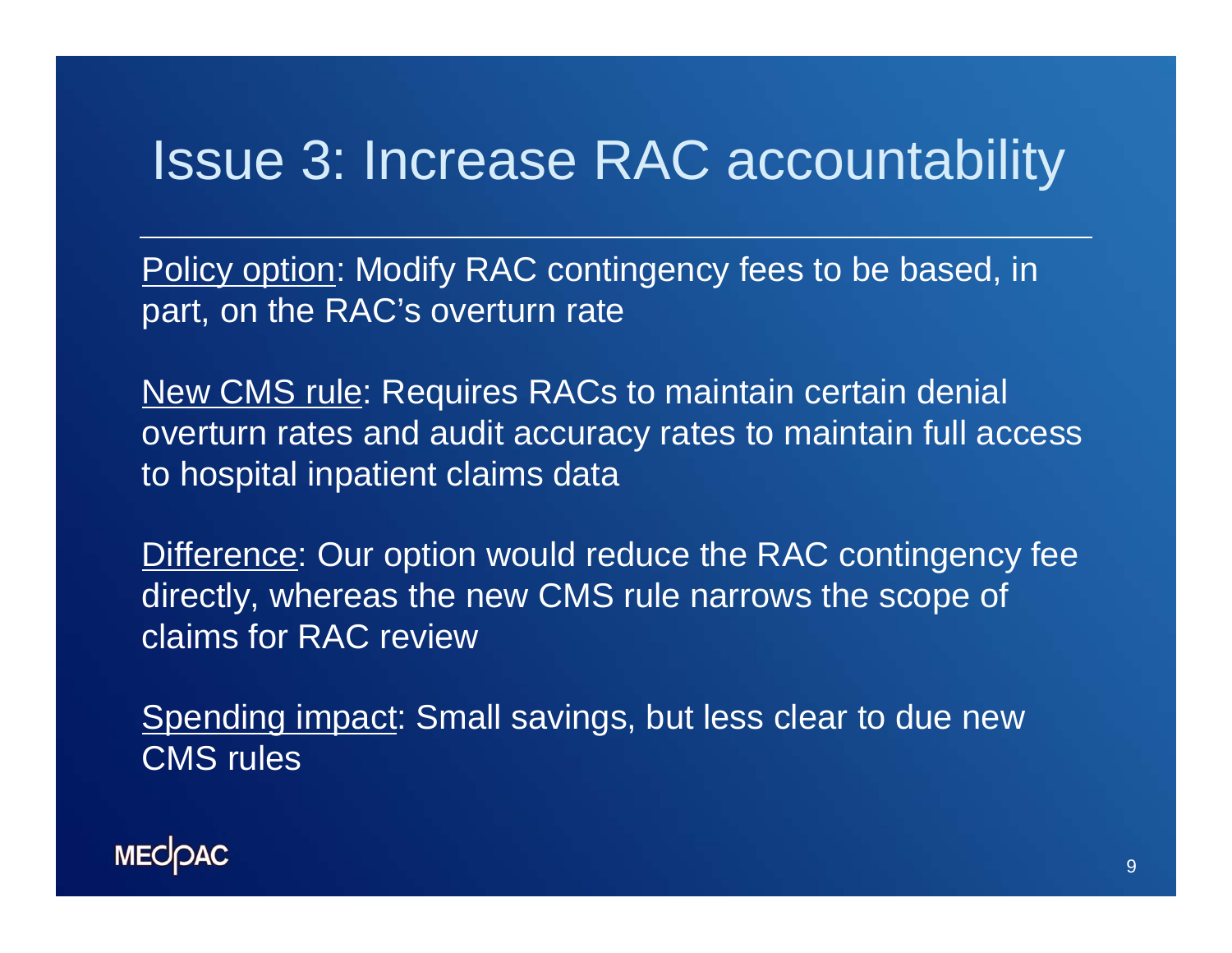## Issue 3: Increase RAC accountability

Policy option: Modify RAC contingency fees to be based, in part, on the RAC's overturn rate

New CMS rule: Requires RACs to maintain certain denial overturn rates and audit accuracy rates to maintain full access to hospital inpatient claims data

Difference: Our option would reduce the RAC contingency fee directly, whereas the new CMS rule narrows the scope of claims for RAC review

Spending impact: Small savings, but less clear to due new CMS rules

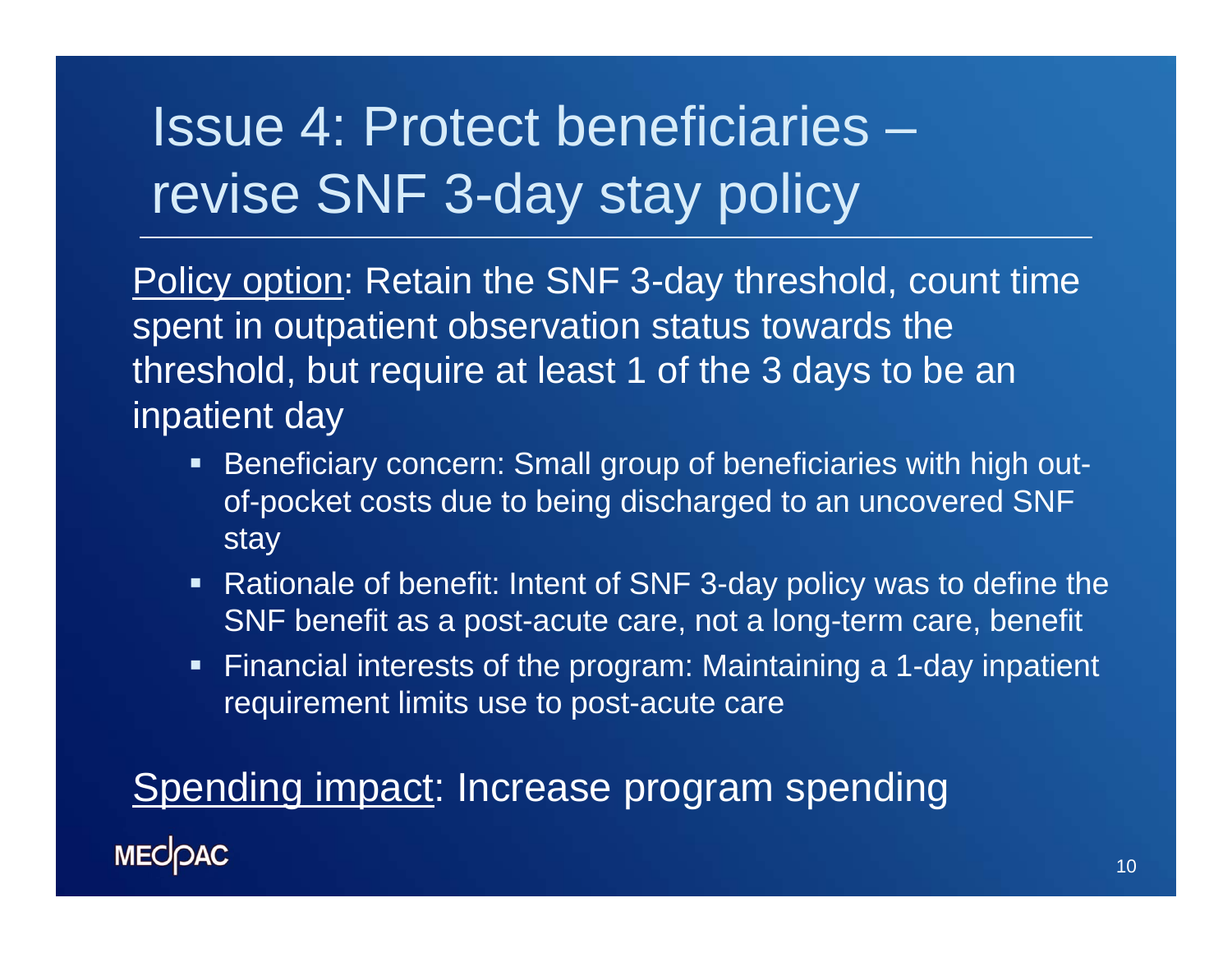# Issue 4: Protect beneficiaries –revise SNF 3-day stay policy

Policy option: Retain the SNF 3-day threshold, count time spent in outpatient observation status towards the threshold, but require at least 1 of the 3 days to be an inpatient day

- Beneficiary concern: Small group of beneficiaries with high outof-pocket costs due to being discharged to an uncovered SNF stay
- Rationale of benefit: Intent of SNF 3-day policy was to define the SNF benefit as a post-acute care, not a long-term care, benefit
- $\blacksquare$  Financial interests of the program: Maintaining a 1-day inpatient requirement limits use to post-acute care

Spending impact: Increase program spending**MECOAC**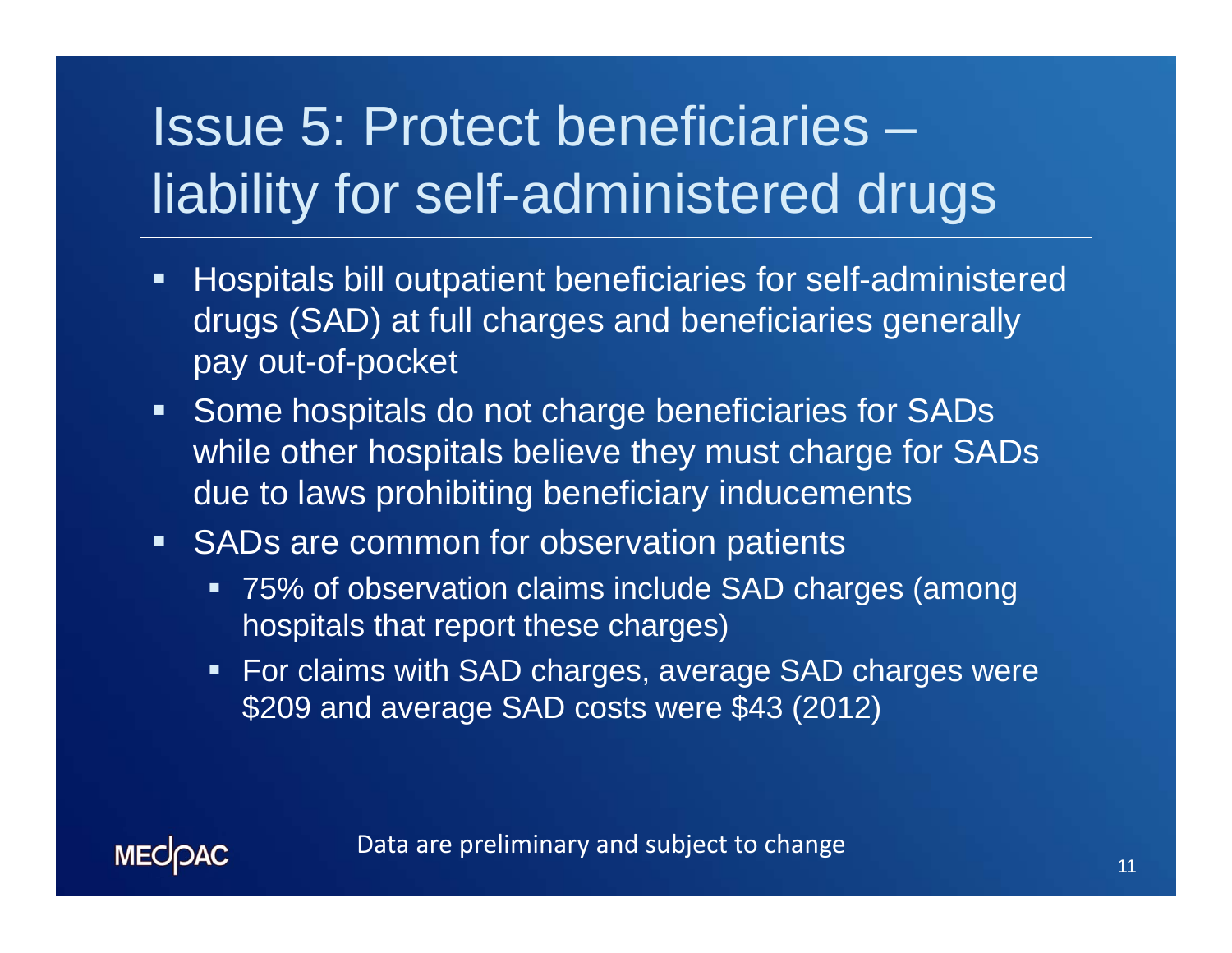# Issue 5: Protect beneficiaries – liability for self-administered drugs

- $\blacksquare$  Hospitals bill outpatient beneficiaries for self-administered drugs (SAD) at full charges and beneficiaries generally pay out-of-pocket
- **Some hospitals do not charge beneficiaries for SADs** while other hospitals believe they must charge for SADs due to laws prohibiting beneficiary inducements
- **SADs are common for observation patients** 
	- 75% of observation claims include SAD charges (among hospitals that report these charges)
	- **For claims with SAD charges, average SAD charges were** \$209 and average SAD costs were \$43 (2012)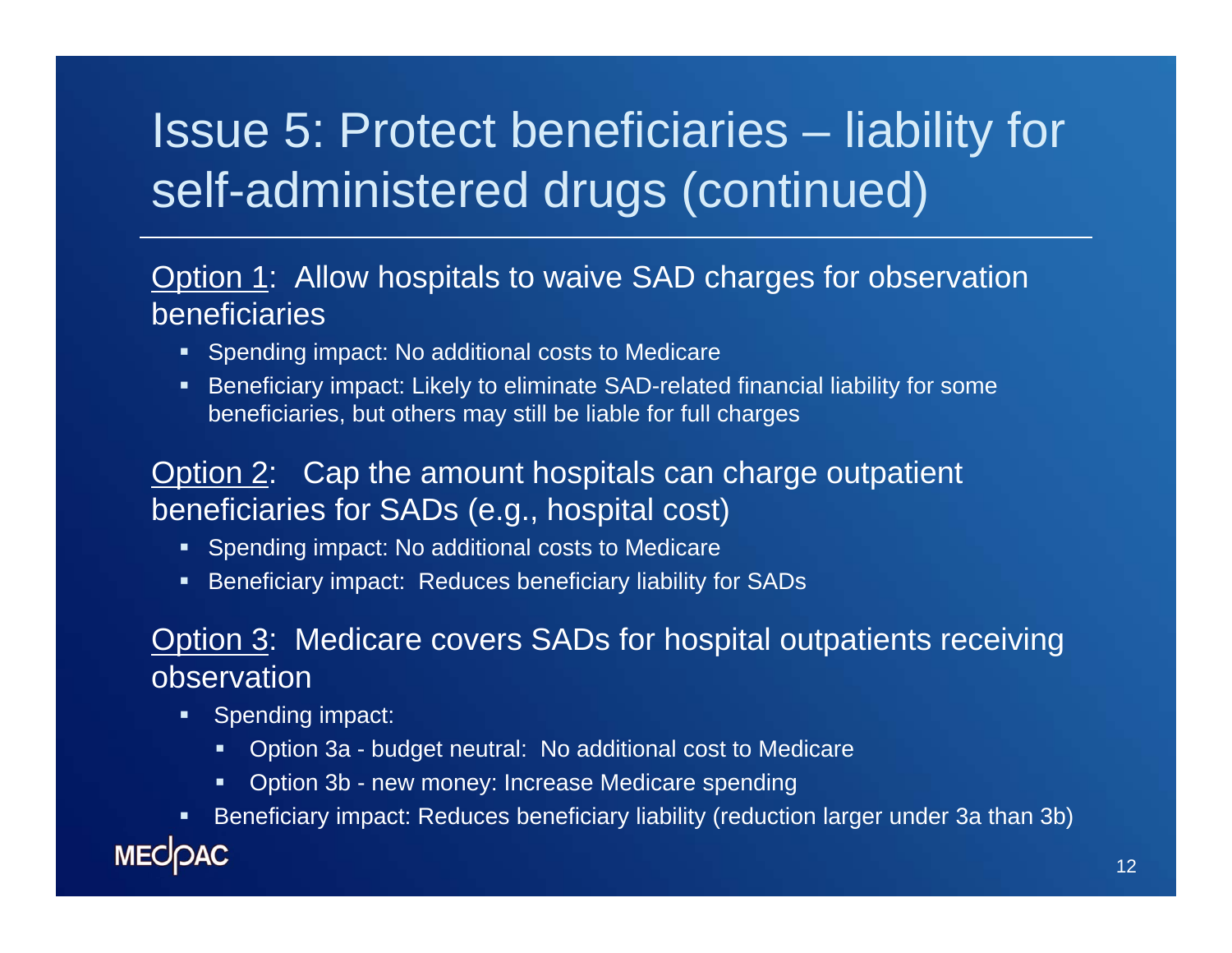# Issue 5: Protect beneficiaries – liability for self-administered drugs (continued)

#### Option 1: Allow hospitals to waive SAD charges for observation beneficiaries

- **•** Spending impact: No additional costs to Medicare
- Beneficiary impact: Likely to eliminate SAD-related financial liability for some beneficiaries, but others may still be liable for full charges

#### Option 2: Cap the amount hospitals can charge outpatient beneficiaries for SADs (e.g., hospital cost)

- **Spending impact: No additional costs to Medicare**
- Beneficiary impact: Reduces beneficiary liability for SADs

#### Option 3: Medicare covers SADs for hospital outpatients receiving observation

- $\blacksquare$  Spending impact:
	- Option 3a budget neutral: No additional cost to Medicare
	- Option 3b new money: Increase Medicare spending
- Beneficiary impact: Reduces beneficiary liability (reduction larger under 3a than 3b)

### **MECOAC**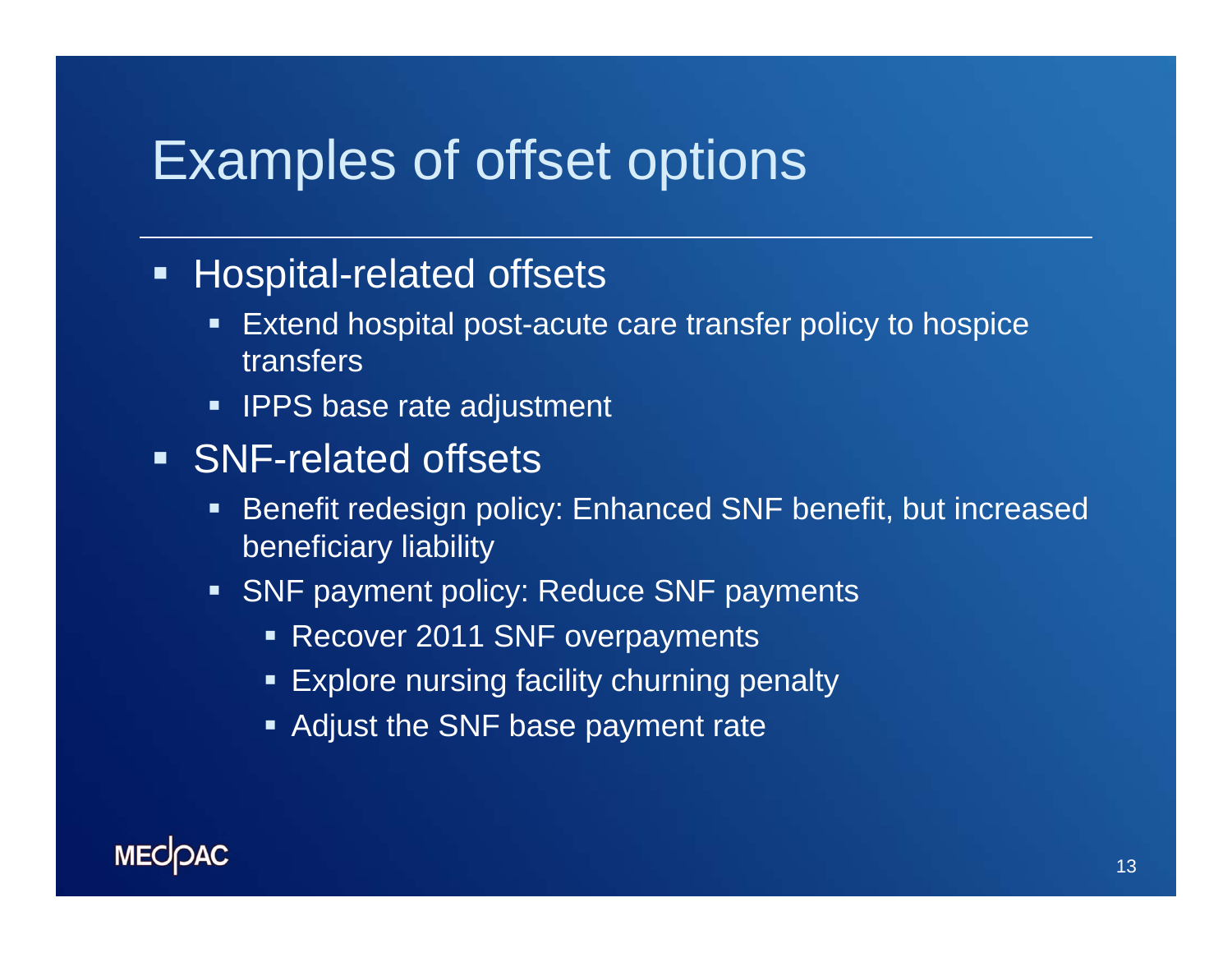## Examples of offset options

### **Hospital-related offsets**

- $\blacksquare$  Extend hospital post-acute care transfer policy to hospice transfers
- **IPPS base rate adjustment**
- **SNF-related offsets** 
	- $\blacksquare$  Benefit redesign policy: Enhanced SNF benefit, but increased beneficiary liability
	- **SNF** payment policy: Reduce SNF payments
		- Recover 2011 SNF overpayments
		- **Explore nursing facility churning penalty**
		- **Adjust the SNF base payment rate**

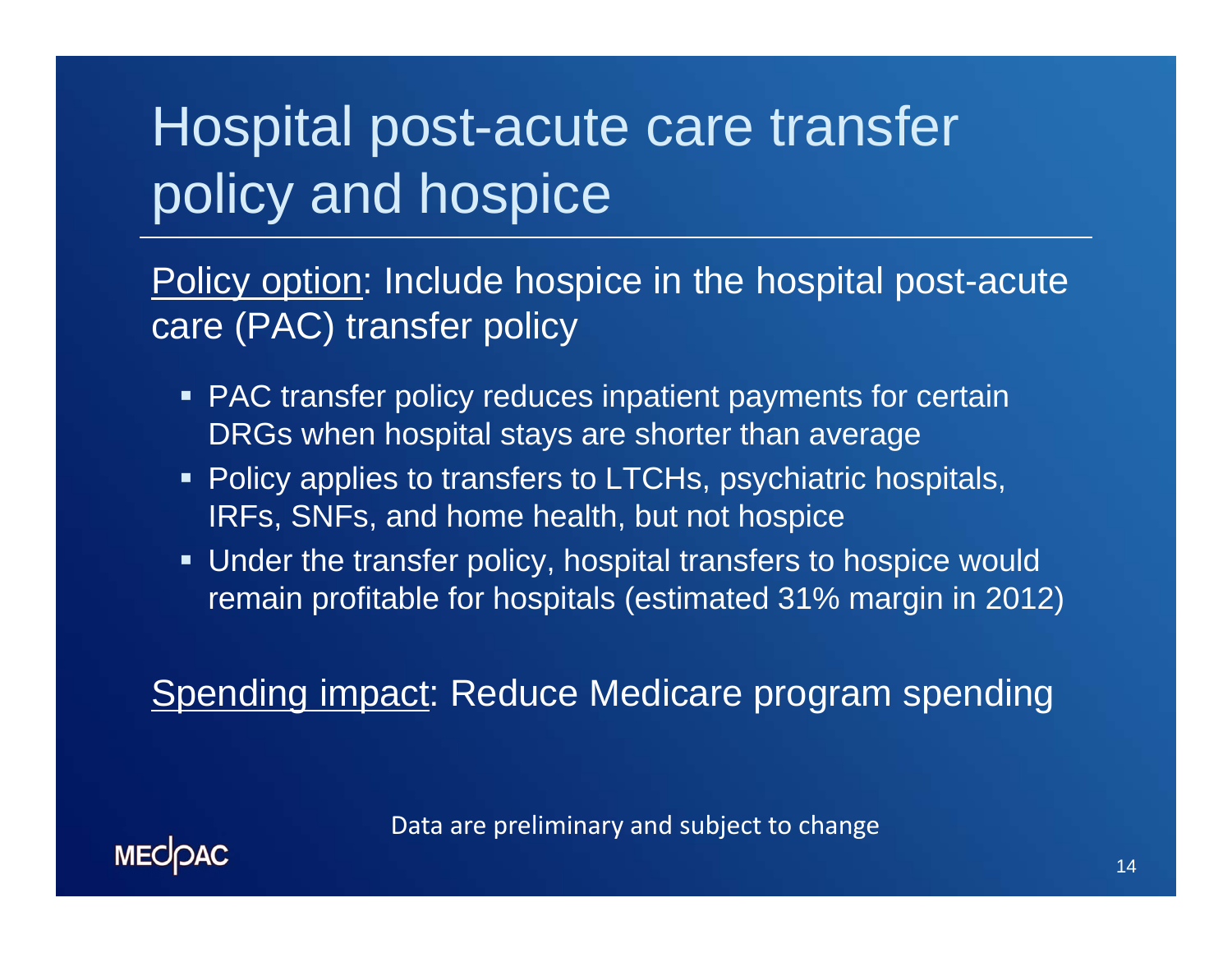# Hospital post-acute care transfer policy and hospice

Policy option: Include hospice in the hospital post-acute care (PAC) transfer policy

- **PAC transfer policy reduces inpatient payments for certain** DRGs when hospital stays are shorter than average
- Policy applies to transfers to LTCHs, psychiatric hospitals, IRFs, SNFs, and home health, but not hospice
- Under the transfer policy, hospital transfers to hospice would remain profitable for hospitals (estimated 31% margin in 2012)

Spending impact: Reduce Medicare program spending

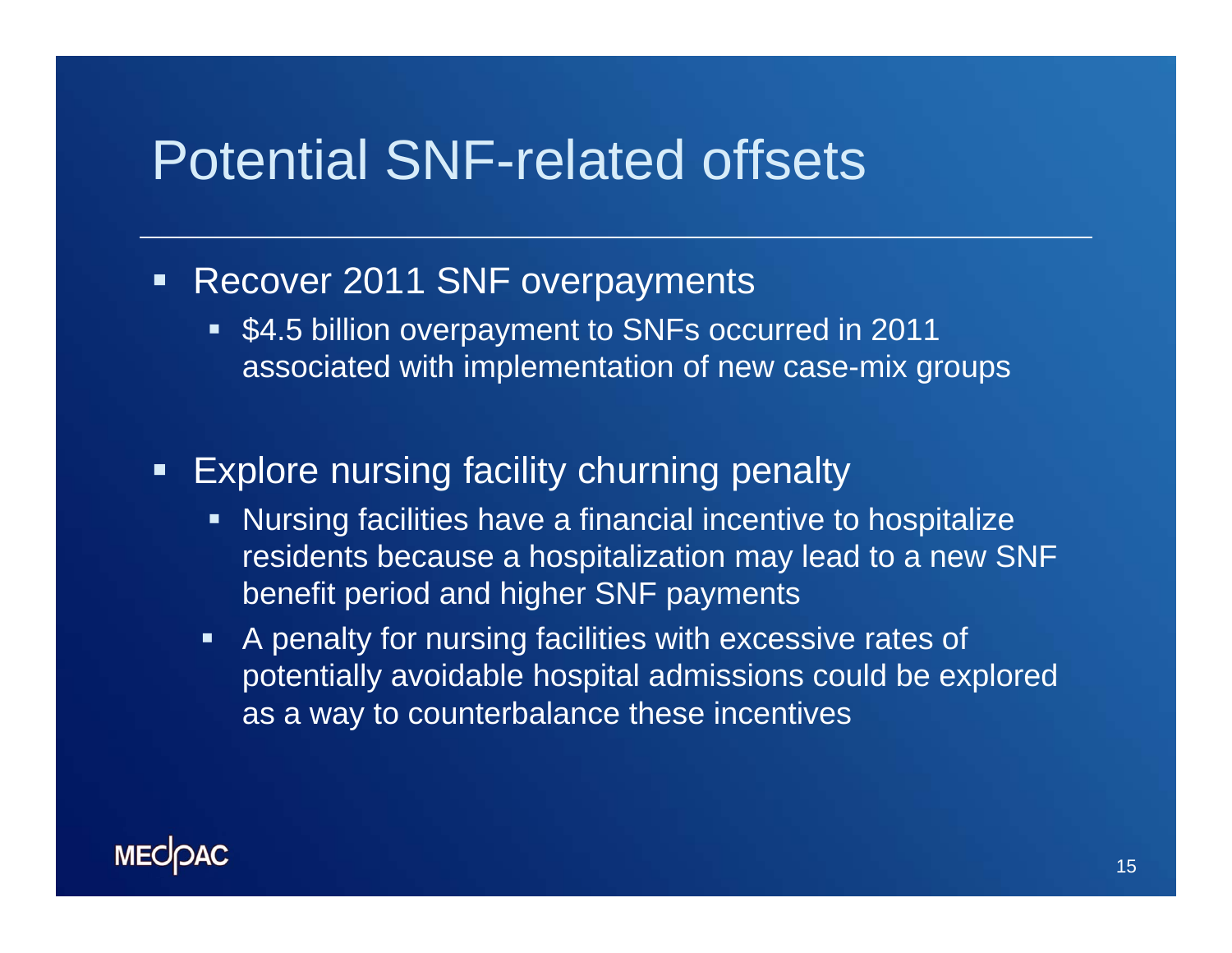## Potential SNF-related offsets

- **Recover 2011 SNF overpayments** 
	- **54.5 billion overpayment to SNFs occurred in 2011** associated with implementation of new case-mix groups
- $\blacksquare$  Explore nursing facility churning penalty
	- **Nursing facilities have a financial incentive to hospitalize** residents because a hospitalization may lead to a new SNF benefit period and higher SNF payments
	- $\blacksquare$  A penalty for nursing facilities with excessive rates of potentially avoidable hospital admissions could be explored as a way to counterbalance these incentives